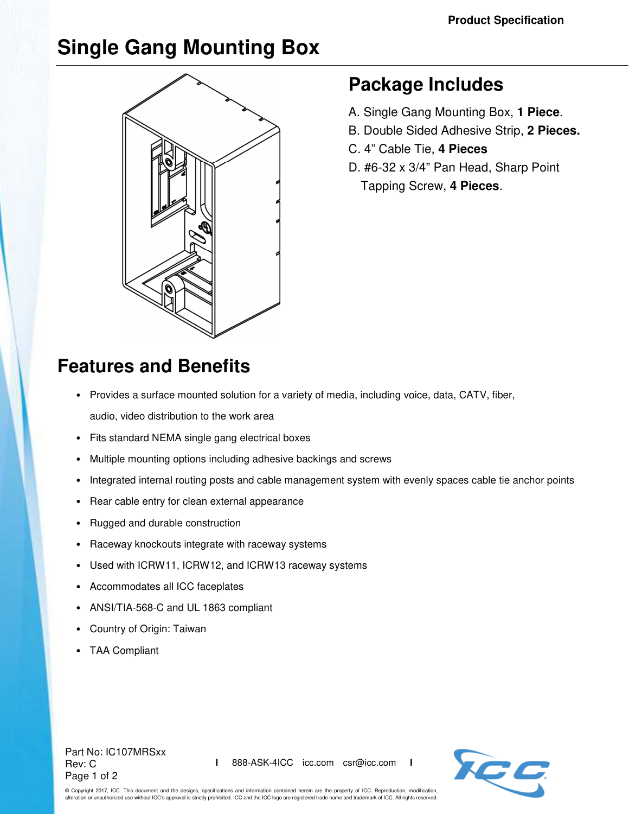# **Single Gang Mounting Box**



### **Package Includes**

- A. Single Gang Mounting Box, **1 Piece**.
- B. Double Sided Adhesive Strip, **2 Pieces.**
- C. 4" Cable Tie, **4 Pieces**
- D. #6-32 x 3/4" Pan Head, Sharp Point Tapping Screw, **4 Pieces**.

## **Features and Benefits**

- Provides a surface mounted solution for a variety of media, including voice, data, CATV, fiber, audio, video distribution to the work area
- Fits standard NEMA single gang electrical boxes
- Multiple mounting options including adhesive backings and screws
- Integrated internal routing posts and cable management system with evenly spaces cable tie anchor points
- Rear cable entry for clean external appearance
- Rugged and durable construction
- Raceway knockouts integrate with raceway systems
- Used with ICRW11, ICRW12, and ICRW13 raceway systems
- Accommodates all ICC faceplates
- ANSI/TIA-568-C and UL 1863 compliant
- Country of Origin: Taiwan
- TAA Compliant

#### Part No: IC107MRSxx Rev: C Page 1 of 2



© Copyright 2017, ICC. This document and the designs, specifications and information contained herein are the property of ICC. Reproduction, modification, alteration or unauthorized use without ICC's approval is strictly prohibited. ICC and the ICC logo are registered trade name and trademark of ICC. All rights reserved.